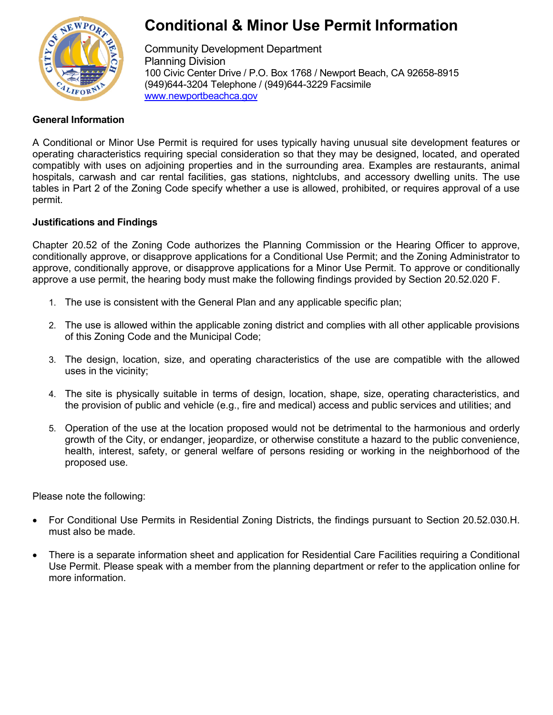

# **Conditional & Minor Use Permit Information**

Community Development Department Planning Division 100 Civic Center Drive / P.O. Box 1768 / Newport Beach, CA 92658-8915 (949)644-3204 Telephone / (949)644-3229 Facsimile [www.newportbeachca.gov](http://www.newportbeachca.gov/)

## **General Information**

A Conditional or Minor Use Permit is required for uses typically having unusual site development features or operating characteristics requiring special consideration so that they may be designed, located, and operated compatibly with uses on adjoining properties and in the surrounding area. Examples are restaurants, animal hospitals, carwash and car rental facilities, gas stations, nightclubs, and accessory dwelling units. The use tables in Part 2 of the Zoning Code specify whether a use is allowed, prohibited, or requires approval of a use permit.

# **Justifications and Findings**

Chapter 20.52 of the Zoning Code authorizes the Planning Commission or the Hearing Officer to approve, conditionally approve, or disapprove applications for a Conditional Use Permit; and the Zoning Administrator to approve, conditionally approve, or disapprove applications for a Minor Use Permit. To approve or conditionally approve a use permit, the hearing body must make the following findings provided by Section 20.52.020 F.

- 1. The use is consistent with the General Plan and any applicable specific plan;
- 2. The use is allowed within the applicable zoning district and complies with all other applicable provisions of this Zoning Code and the Municipal Code;
- 3. The design, location, size, and operating characteristics of the use are compatible with the allowed uses in the vicinity;
- 4. The site is physically suitable in terms of design, location, shape, size, operating characteristics, and the provision of public and vehicle (e.g., fire and medical) access and public services and utilities; and
- 5. Operation of the use at the location proposed would not be detrimental to the harmonious and orderly growth of the City, or endanger, jeopardize, or otherwise constitute a hazard to the public convenience, health, interest, safety, or general welfare of persons residing or working in the neighborhood of the proposed use.

Please note the following:

- For Conditional Use Permits in Residential Zoning Districts, the findings pursuant to Section 20.52.030.H. must also be made.
- There is a separate information sheet and application for Residential Care Facilities requiring a Conditional Use Permit. Please speak with a member from the planning department or refer to the application online for more information.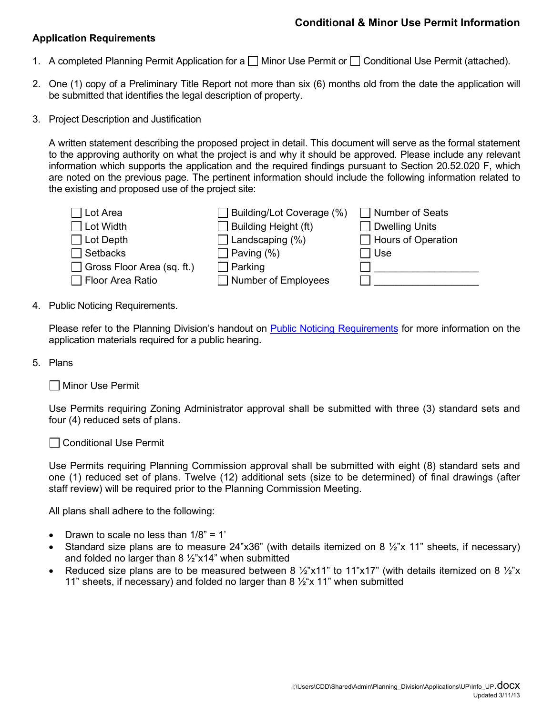### **Application Requirements**

- 1. A completed Planning Permit Application for a  $\Box$  Minor Use Permit or  $\Box$  Conditional Use Permit (attached).
- 2. One (1) copy of a Preliminary Title Report not more than six (6) months old from the date the application will be submitted that identifies the legal description of property.
- 3. Project Description and Justification

A written statement describing the proposed project in detail. This document will serve as the formal statement to the approving authority on what the project is and why it should be approved. Please include any relevant information which supports the application and the required findings pursuant to Section 20.52.020 F, which are noted on the previous page. The pertinent information should include the following information related to the existing and proposed use of the project site:



4. Public Noticing Requirements.

Please refer to the Planning Division's handout on [Public Noticing Requirements](http://www.newportbeachca.gov/Modules/ShowDocument.aspx?documentid=10041) for more information on the application materials required for a public hearing.

5. Plans

| Minor Use Permit

Use Permits requiring Zoning Administrator approval shall be submitted with three (3) standard sets and four (4) reduced sets of plans.

□ Conditional Use Permit

Use Permits requiring Planning Commission approval shall be submitted with eight (8) standard sets and one (1) reduced set of plans. Twelve (12) additional sets (size to be determined) of final drawings (after staff review) will be required prior to the Planning Commission Meeting.

All plans shall adhere to the following:

- Drawn to scale no less than  $1/8$ " = 1'
- Standard size plans are to measure 24"x36" (with details itemized on 8  $\frac{1}{2}$ "x 11" sheets, if necessary) and folded no larger than  $8\frac{1}{2}$ "x14" when submitted
- Reduced size plans are to be measured between 8  $\frac{1}{2}$ "x11" to 11"x17" (with details itemized on 8  $\frac{1}{2}$ "x 11" sheets, if necessary) and folded no larger than 8  $\frac{1}{2}x$  11" when submitted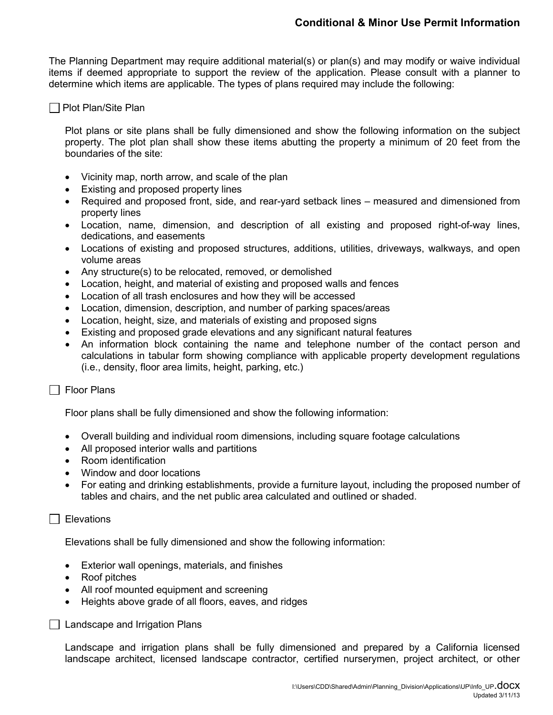The Planning Department may require additional material(s) or plan(s) and may modify or waive individual items if deemed appropriate to support the review of the application. Please consult with a planner to determine which items are applicable. The types of plans required may include the following:

#### Plot Plan/Site Plan

Plot plans or site plans shall be fully dimensioned and show the following information on the subject property. The plot plan shall show these items abutting the property a minimum of 20 feet from the boundaries of the site:

- Vicinity map, north arrow, and scale of the plan
- Existing and proposed property lines
- Required and proposed front, side, and rear-yard setback lines measured and dimensioned from property lines
- Location, name, dimension, and description of all existing and proposed right-of-way lines, dedications, and easements
- Locations of existing and proposed structures, additions, utilities, driveways, walkways, and open volume areas
- Any structure(s) to be relocated, removed, or demolished
- Location, height, and material of existing and proposed walls and fences
- Location of all trash enclosures and how they will be accessed
- Location, dimension, description, and number of parking spaces/areas
- Location, height, size, and materials of existing and proposed signs
- Existing and proposed grade elevations and any significant natural features
- An information block containing the name and telephone number of the contact person and calculations in tabular form showing compliance with applicable property development regulations (i.e., density, floor area limits, height, parking, etc.)

#### $\Box$  Floor Plans

Floor plans shall be fully dimensioned and show the following information:

- Overall building and individual room dimensions, including square footage calculations
- All proposed interior walls and partitions
- Room identification
- Window and door locations
- For eating and drinking establishments, provide a furniture layout, including the proposed number of tables and chairs, and the net public area calculated and outlined or shaded.

#### $\Box$  Elevations

Elevations shall be fully dimensioned and show the following information:

- Exterior wall openings, materials, and finishes
- Roof pitches
- All roof mounted equipment and screening
- Heights above grade of all floors, eaves, and ridges

**□ Landscape and Irrigation Plans** 

Landscape and irrigation plans shall be fully dimensioned and prepared by a California licensed landscape architect, licensed landscape contractor, certified nurserymen, project architect, or other